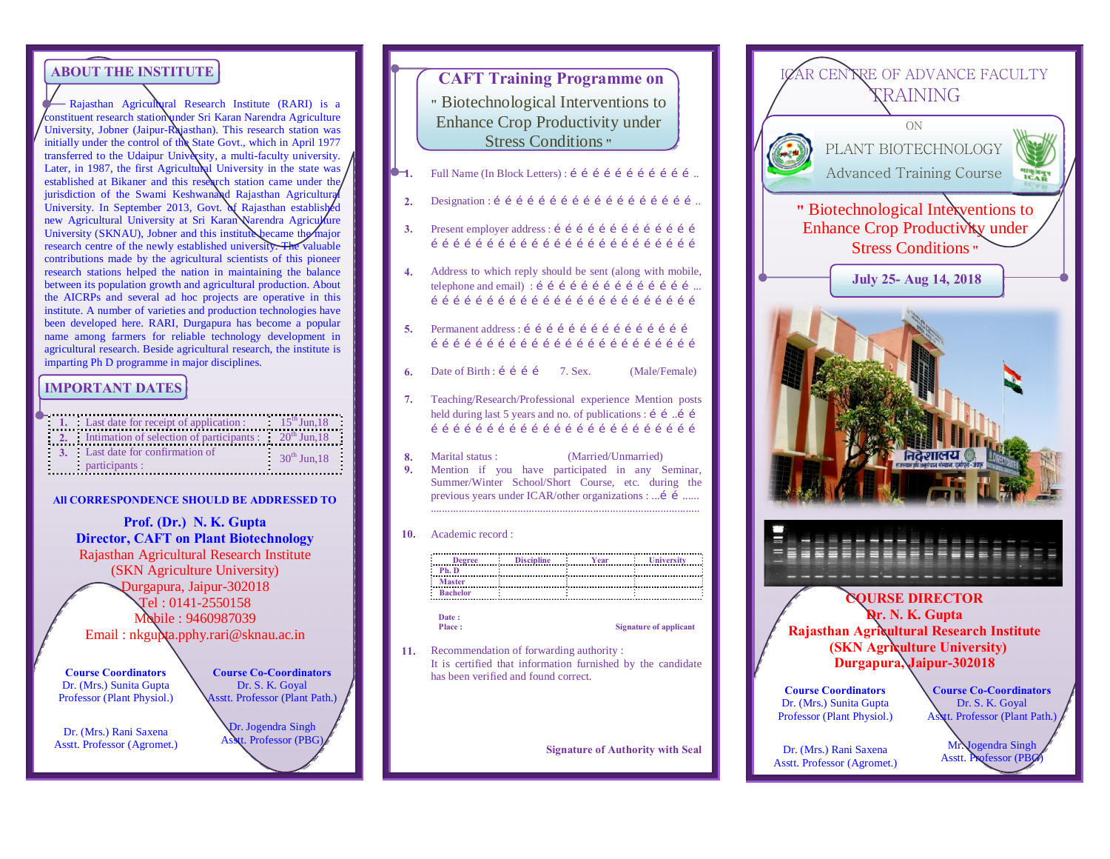# **ABOUT THE INSTITUTE**

- Rajasthan Agricultural Research Institute (RARI) is a constituent research station under Sri Karan Narendra Agriculture University, Jobner (Jaipur-Rajasthan). This research station was initially under the control of the State Govt., which in April 1977 transferred to the Udaipur University, a multi-faculty university. Later, in 1987, the first Agricultural University in the state was established at Bikaner and this research station came under the jurisdiction of the Swami Keshwanand Rajasthan Agricultura University. In September 2013, Govt. of Rajasthan established new Agricultural University at Sri Karan Narendra Agriculture University (SKNAU), Jobner and this institute became the major research centre of the newly established university. The valuable contributions made by the agricultural scientists of this pioneer research stations helped the nation in maintaining the balance between its population growth and agricultural production. About the AICRPs and several ad hoc projects are operative in this institute. A number of varieties and production technologies have been developed here. RARI, Durgapura has become a popular name among farmers for reliable technology development in agricultural research. Beside agricultural research, the institute is imparting Ph D programme in major disciplines.

### **IMPORTANT DATES**

| $\frac{1}{2}$ . Last date for receipt of application : $\frac{1}{2}$ . $15^{\text{th}}$ Jun, 18 |                   |
|-------------------------------------------------------------------------------------------------|-------------------|
| 2. Intimation of selection of participants: $20^{\text{th}}$ Jun, 18                            |                   |
| 3. Last date for confirmation of<br>participants :                                              | $30^{th}$ Jun, 18 |

**All CORRESPONDENCE SHOULD BE ADDRESSED TO**

**Prof. (Dr.) N. K. Gupta Director, CAFT on Plant Biotechnology** Rajasthan Agricultural Research Institute (SKN Agriculture University) Durgapura, Jaipur-302018 Tel : 0141-2550158 Mobile : 9460987039 Email : nkgupta.pphy.rari@sknau.ac.in

**Course Coordinators** Dr. (Mrs.) Sunita Gupta Professor (Plant Physiol.)

Dr. (Mrs.) Rani Saxena Asstt. Professor (Agromet.) **Course Co-Coordinators** Dr. S. K. Goyal Asstt. Professor (Plant Path.)

# Dr. Jogendra Singh Asstt. Professor (PBG)

|          | <b>CAFT Training Programme on</b><br>" Biotechnological Interventions to<br><b>Enhance Crop Productivity under</b><br><b>Stress Conditions</b> "                                                          |
|----------|-----------------------------------------------------------------------------------------------------------------------------------------------------------------------------------------------------------|
| 1.       | Full Name (In Block Letters) : í í í í í í í í í í í í í                                                                                                                                                  |
| 2.       |                                                                                                                                                                                                           |
| 3.       | Present employer address : í í í í í í í í í í í í í í                                                                                                                                                    |
| 4.       | Address to which reply should be sent (along with mobile,<br>telephone and email) : í í í í í í í í í í í í í í í í                                                                                       |
| 5.       | Permanent address: í í í í í í í í í í í í í í í í<br>111111111111111111111111                                                                                                                            |
| 6.       | 7. Sex.<br>Date of Birth : $i \in I$<br>(Male/Female)                                                                                                                                                     |
| 7.       | Teaching/Research/Professional experience Mention posts<br>held during last 5 years and no. of publications : í í í í<br>111111111111111111111111                                                         |
| 8.<br>9. | (Married/Unmarried)<br>Marital status :<br>Mention if you have participated in any Seminar,<br>Summer/Winter School/Short Course, etc. during the<br>previous years under ICAR/other organizations :  í í |
| 10.      | Academic record:                                                                                                                                                                                          |
|          | Degree Discipline Year Viniversity<br>Ph. D<br>Master<br>Date:<br>Place:<br><b>Signature of applicant</b>                                                                                                 |
| 11.      | Recommendation of forwarding authority:                                                                                                                                                                   |
|          | It is certified that information furnished by the candidate<br>has been verified and found correct.                                                                                                       |

**Signature of Authority with Seal**